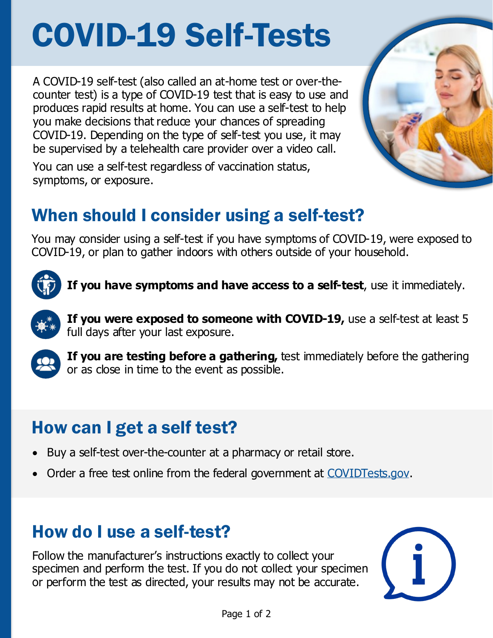# COVID-19 Self-Tests

A COVID-19 self-test (also called an at-home test or over-thecounter test) is a type of COVID-19 test that is easy to use and produces rapid results at home. You can use a self-test to help you make decisions that reduce your chances of spreading COVID-19. Depending on the type of self-test you use, it may be supervised by a telehealth care provider over a video call.



You can use a self-test regardless of vaccination status, symptoms, or exposure.

## When should I consider using a self-test?

You may consider using a self-test if you have symptoms of COVID-19, were exposed to COVID-19, or plan to gather indoors with others outside of your household.



**If you have symptoms and have access to a self-test**, use it immediately.



**If you were exposed to someone with COVID-19,** use a self-test at least 5 full days after your last exposure.



**If you are testing before a gathering,** test immediately before the gathering or as close in time to the event as possible.

### How can I get a self test?

- Buy a self-test over-the-counter at a pharmacy or retail store.
- Order a free test online from the federal government at [COVIDTests.gov.](https://www.covidtests.gov/)

#### How do I use a self-test?

Follow the manufacturer's instructions exactly to collect your specimen and perform the test. If you do not collect your specimen or perform the test as directed, your results may not be accurate.